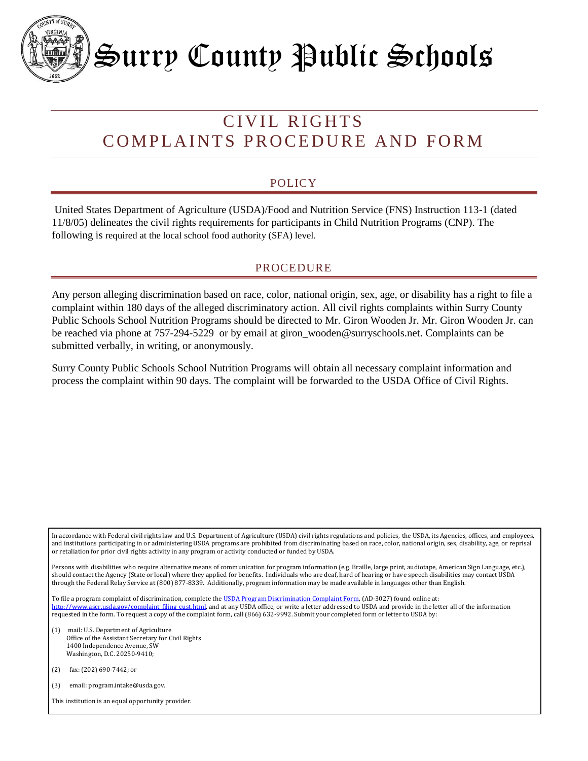$\mathfrak{S}\mathfrak{u}\mathfrak{r}\mathfrak{v}$  County Public Schools

## CIVIL RIGHTS COMPLAINTS PROCEDURE AND FORM

#### POLICY

United States Department of Agriculture (USDA)/Food and Nutrition Service (FNS) Instruction 113-1 (dated 11/8/05) delineates the civil rights requirements for participants in Child Nutrition Programs (CNP). The following is required at the local school food authority (SFA) level.

#### PROCEDURE

Any person alleging discrimination based on race, color, national origin, sex, age, or disability has a right to file a complaint within 180 days of the alleged discriminatory action. All civil rights complaints within Surry County Public Schools School Nutrition Programs should be directed to Mr. Giron Wooden Jr. Mr. Giron Wooden Jr. can be reached via phone at 757-294-5229 or by email at giron\_wooden@surryschools.net. Complaints can be submitted verbally, in writing, or anonymously.

Surry County Public Schools School Nutrition Programs will obtain all necessary complaint information and process the complaint within 90 days. The complaint will be forwarded to the USDA Office of Civil Rights.

In accordance with Federal civil rights law and U.S. Department of Agriculture (USDA) civil rights regulations and policies, the USDA, its Agencies, offices, and employees, and institutions participating in or administering USDA programs are prohibited from discriminating based on race, color, national origin, sex, disability, age, or reprisal or retaliation for prior civil rights activity in any program or activity conducted or funded by USDA.

Persons with disabilities who require alternative means of communication for program information (e.g. Braille, large print, audiotape, American Sign Language, etc.), should contact the Agency (State or local) where they applied for benefits. Individuals who are deaf, hard of hearing or have speech disabilities may contact USDA through the Federal Relay Service at (800) 877-8339. Additionally, program information may be made available in languages other than English.

To file a program complaint of discrimination, complete th[e USDA Program Discrimination Complaint Form,](http://www.ocio.usda.gov/sites/default/files/docs/2012/Complain_combined_6_8_12.pdf) (AD-3027) found online at: [http://www.ascr.usda.gov/complaint\\_filing\\_cust.html,](http://www.ascr.usda.gov/complaint_filing_cust.html) and at any USDA office, or write a letter addressed to USDA and provide in the letter all of the information requested in the form. To request a copy of the complaint form, call (866) 632-9992. Submit your completed form or letter to USDA by:

- (1) mail: U.S. Department of Agriculture Office of the Assistant Secretary for Civil Rights 1400 Independence Avenue, SW Washington, D.C. 20250-9410;
- (2) fax: (202) 690-7442; or
- (3) email: program.intake@usda.gov.

This institution is an equal opportunity provider.